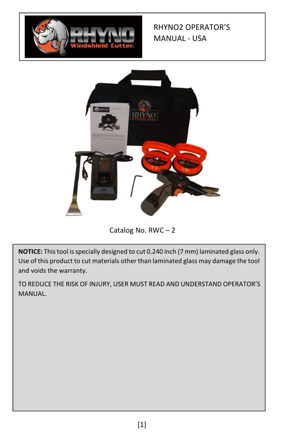

# RHYNO2 OPERATOR'S MANUAL - USA



Catalog No. RWC – 2

**NOTICE:** This tool is specially designed to cut 0.240 inch (7 mm) laminated glass only. Use of this product to cut materials other than laminated glass may damage the tool and voids the warranty.

TO REDUCE THE RISK OF INJURY, USER MUST READ AND UNDERSTAND OPERATOR'S MANUAL.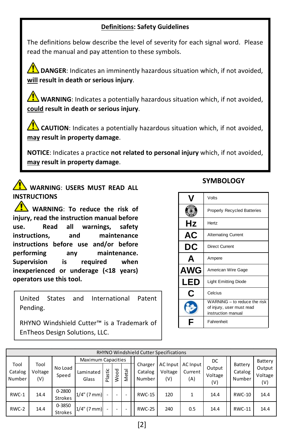### **Definitions: Safety Guidelines**

The definitions below describe the level of severity for each signal word. Please read the manual and pay attention to these symbols.

**AB** DANGER: Indicates an imminently hazardous situation which, if not avoided, **will result in death or serious injury**.

**WARNING**: Indicates a potentially hazardous situation which, if not avoided, **could result in death or serious injury**.

**CAUTION**: Indicates a potentially hazardous situation which, if not avoided, **may result in property damage**.

**NOTICE**: Indicates a practice **not related to personal injury** which, if not avoided, **may result in property damage**.

**WARNING**: **USERS MUST READ ALL INSTRUCTIONS**

 **WARNING**: **To reduce the risk of injury, read the instruction manual before use. Read all warnings, safety instructions, and maintenance instructions before use and/or before performing any maintenance. Supervision is required when inexperienced or underage (<18 years) operators use this tool.** 

 $\overline{a}$ 

United States and International Patent Pending.

RHYNO Windshield Cutter™ is a Trademark of EnTheos Design Solutions, LLC.

# **SYMBOLOGY**

|            | Volts                                                                           |
|------------|---------------------------------------------------------------------------------|
|            | <b>Properly Recycled Batteries</b>                                              |
| Hz         | Hertz                                                                           |
| AC         | <b>Alternating Current</b>                                                      |
| DC         | <b>Direct Current</b>                                                           |
| A          | Ampere                                                                          |
| <b>AWG</b> | American Wire Gage                                                              |
| LED        | <b>Light Emitting Diode</b>                                                     |
| C          | Celcius                                                                         |
|            | WARNING - to reduce the risk<br>of injury, user must read<br>instruction manual |
|            | Fahrenheit                                                                      |

|                           | RHYNO Windshield Cutter Specifications |                              |                                                 |         |      |           |  |                              |                            |                            |                                |  |                              |                                     |
|---------------------------|----------------------------------------|------------------------------|-------------------------------------------------|---------|------|-----------|--|------------------------------|----------------------------|----------------------------|--------------------------------|--|------------------------------|-------------------------------------|
| Tool<br>Catalog<br>Number | Tool<br>Voltage<br>(V)                 | No Load<br>Speed             | <b>Maximum Capacities</b><br>Laminated<br>Glass | Plastic | Wood | etal<br>Σ |  | Charger<br>Catalog<br>Number | AC Input<br>Voltage<br>(V) | AC Input<br>Current<br>(A) | DC<br>Output<br>Voltage<br>(V) |  | Battery<br>Catalog<br>Number | Battery<br>Output<br>Voltage<br>(V) |
| RWC-1                     | 14.4                                   | $0 - 2800$<br><b>Strokes</b> | $1/4$ " (7 mm)                                  |         | ۰    |           |  | <b>RWC-15</b>                | 120                        |                            | 14.4                           |  | <b>RWC-10</b>                | 14.4                                |
| RWC-2                     | 14.4                                   | 0-3850<br><b>Strokes</b>     | $1/4$ " (7 mm)                                  |         |      |           |  | <b>RWC-25</b>                | 240                        | 0.5                        | 14.4                           |  | <b>RWC-11</b>                | 14.4                                |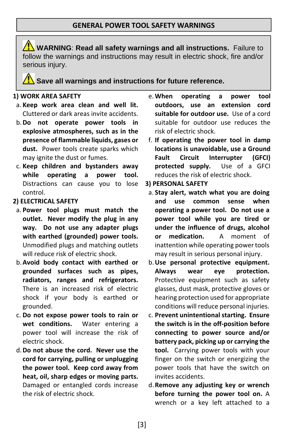**WARNING: Read all safety warnings and all instructions.** Failure to follow the warnings and instructions may result in electric shock, fire and/or serious injury.

 **Save all warnings and instructions for future reference.**

### **1) WORK AREA SAFETY**

- a. **Keep work area clean and well lit.** Cluttered or dark areas invite accidents.
- b.**Do not operate power tools in explosive atmospheres, such as in the presence of flammable liquids, gases or dust.** Power tools create sparks which may ignite the dust or fumes.
- c. **Keep children and bystanders away while operating a power tool.** Distractions can cause you to lose control.

### **2) ELECTRICAL SAFETY**

- a. **Power tool plugs must match the outlet. Never modify the plug in any way. Do not use any adapter plugs with earthed (grounded) power tools.**  Unmodified plugs and matching outlets will reduce risk of electric shock.
- b.**Avoid body contact with earthed or grounded surfaces such as pipes, radiators, ranges and refrigerators.** There is an increased risk of electric shock if your body is earthed or grounded.
- c. **Do not expose power tools to rain or wet conditions.** Water entering a power tool will increase the risk of electric shock.
- d.**Do not abuse the cord. Never use the cord for carrying, pulling or unplugging the power tool. Keep cord away from heat, oil, sharp edges or moving parts.**  Damaged or entangled cords increase the risk of electric shock.
- e. **When operating a power tool outdoors, use an extension cord suitable for outdoor use.** Use of a cord suitable for outdoor use reduces the risk of electric shock.
- f. **If operating the power tool in damp locations is unavoidable, use a Ground Fault Circuit Interrupter (GFCI) protected supply.** Use of a GFCI reduces the risk of electric shock.
- **3) PERSONAL SAFETY**
- a. **Stay alert, watch what you are doing and use common sense when operating a power tool. Do not use a power tool while you are tired or under the influence of drugs, alcohol or medication.** A moment of inattention while operating power tools may result in serious personal injury.
- b.**Use personal protective equipment. Always wear eye protection.** Protective equipment such as safety glasses, dust mask, protective gloves or hearing protection used for appropriate conditions will reduce personal injuries.
- c. **Prevent unintentional starting. Ensure the switch is in the off-position before connecting to power source and/or battery pack, picking up or carrying the tool.** Carrying power tools with your finger on the switch or energizing the power tools that have the switch on invites accidents.
- d.**Remove any adjusting key or wrench before turning the power tool on.** A wrench or a key left attached to a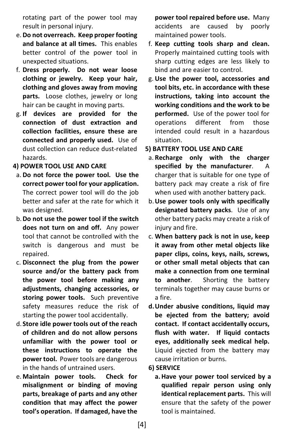rotating part of the power tool may result in personal injury.

- e. **Do not overreach. Keep proper footing and balance at all times.** This enables better control of the power tool in unexpected situations.
- f. **Dress properly. Do not wear loose clothing or jewelry. Keep your hair, clothing and gloves away from moving parts.** Loose clothes, jewelry or long hair can be caught in moving parts.
- g. **If devices are provided for the connection of dust extraction and collection facilities, ensure these are connected and properly used.** Use of dust collection can reduce dust-related hazards.
- **4) POWER TOOL USE AND CARE** 
	- a. **Do not force the power tool. Use the correct power tool for your application.**  The correct power tool will do the job better and safer at the rate for which it was designed.
	- b.**Do not use the power tool if the switch does not turn on and off.** Any power tool that cannot be controlled with the switch is dangerous and must be repaired.
	- c. **Disconnect the plug from the power source and/or the battery pack from the power tool before making any adjustments, changing accessories, or storing power tools.** Such preventive safety measures reduce the risk of starting the power tool accidentally.
	- d. **Store idle power tools out of the reach of children and do not allow persons unfamiliar with the power tool or these instructions to operate the power tool.** Power tools are dangerous in the hands of untrained users.
	- e. **Maintain power tools. Check for misalignment or binding of moving parts, breakage of parts and any other condition that may affect the power tool's operation. If damaged, have the**

**power tool repaired before use.** Many accidents are caused by poorly maintained power tools.

- f. **Keep cutting tools sharp and clean.** Properly maintained cutting tools with sharp cutting edges are less likely to bind and are easier to control.
- g. **Use the power tool, accessories and tool bits, etc. in accordance with these instructions, taking into account the working conditions and the work to be performed.** Use of the power tool for operations different from those intended could result in a hazardous situation.
- **5) BATTERY TOOL USE AND CARE**
- a. **Recharge only with the charger specified by the manufacturer**. A charger that is suitable for one type of battery pack may create a risk of fire when used with another battery pack.
- b.**Use power tools only with specifically designated battery packs**. Use of any other battery packs may create a risk of injury and fire.
- c. **When battery pack is not in use, keep it away from other metal objects like paper clips, coins, keys, nails, screws, or other small metal objects that can make a connection from one terminal to another**. Shorting the battery terminals together may cause burns or a fire.
- **d.Under abusive conditions, liquid may be ejected from the battery; avoid contact. If contact accidentally occurs, flush with water. If liquid contacts eyes, additionally seek medical help.**  Liquid ejected from the battery may cause irritation or burns.
- **6) SERVICE** 
	- **a.Have your power tool serviced by a qualified repair person using only identical replacement parts.** This will ensure that the safety of the power tool is maintained.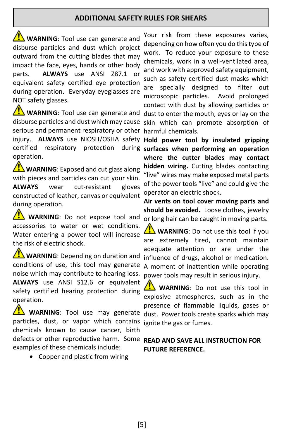### **ADDITIONAL SAFETY RULES FOR SHEARS**

**WARNING**: Tool use can generate and disburse particles and dust which project outward from the cutting blades that may impact the face, eyes, hands or other body parts. **ALWAYS** use ANSI Z87.1 or equivalent safety certified eye protection during operation. Everyday eyeglasses are NOT safety glasses.

disburse particles and dust which may cause skin which can promote absorption of serious and permanent respiratory or other harmful chemicals. injury. **ALWAYS** use NIOSH/OSHA safety **Hold power tool by insulated gripping**  certified respiratory protection operation.

**WARNING**: Exposed and cut glass along with pieces and particles can cut your skin. **ALWAYS** wear cut-resistant gloves constructed of leather, canvas or equivalent during operation.

accessories to water or wet conditions. Water entering a power tool will increase the risk of electric shock.

**WARNING**: Depending on duration and conditions of use, this tool may generate noise which may contribute to hearing loss. **ALWAYS** use ANSI S12.6 or equivalent safety certified hearing protection during operation.

**WARNING**: Tool use may generate particles, dust, or vapor which contains chemicals known to cause cancer, birth defects or other reproductive harm. Some examples of these chemicals include:

• Copper and plastic from wiring

**WARNING**: Tool use can generate and dust to enter the mouth, eyes or lay on the Your risk from these exposures varies, depending on how often you do this type of work. To reduce your exposure to these chemicals, work in a well-ventilated area, and work with approved safety equipment, such as safety certified dust masks which are specially designed to filter out microscopic particles. Avoid prolonged contact with dust by allowing particles or

> **surfaces when performing an operation where the cutter blades may contact hidden wiring.** Cutting blades contacting "live" wires may make exposed metal parts of the power tools "live" and could give the operator an electric shock.

**WARNING**: Do not expose tool and or long hair can be caught in moving parts. **Air vents on tool cover moving parts and should be avoided.** Loose clothes, jewelry

> **WARNING**: Do not use this tool if you are extremely tired, cannot maintain adequate attention or are under the influence of drugs, alcohol or medication. A moment of inattention while operating power tools may result in serious injury.

> **WARNING**: Do not use this tool in explosive atmospheres, such as in the presence of flammable liquids, gases or dust. Power tools create sparks which may ignite the gas or fumes.

### **READ AND SAVE ALL INSTRUCTION FOR FUTURE REFERENCE.**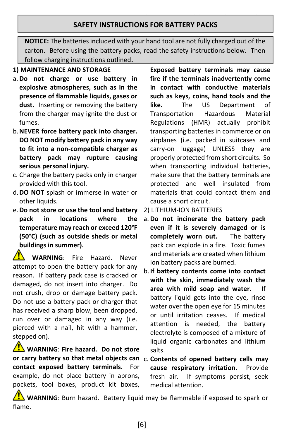### drawers, etc., with loose nails, screws, screws, screws, screws, keys, screws, keys, keys, keys, keys, keys, k **SAFETY INSTRUCTIONS FOR BATTERY PACKS**

**NOTICE:** The batteries included with your hand tool are not fully charged out of the carton. Before using the battery packs, read the safety instructions below. Then follow charging instructions outlined**.**

#### **1) MAINTENANCE AND STORAGE**

- a. **Do not charge or use battery in explosive atmospheres, such as in the presence of flammable liquids, gases or dust.** Inserting or removing the battery from the charger may ignite the dust or fumes.
- b.**NEVER force battery pack into charger. DO NOT modify battery pack in any way to fit into a non-compatible charger as battery pack may rupture causing serious personal injury.**
- c. Charge the battery packs only in charger provided with this tool.
- d.**DO NOT** splash or immerse in water or other liquids.
- e. **Do not store or use the tool and battery pack in locations where the temperature may reach or exceed 120°F (50°C) (such as outside sheds or metal buildings in summer).**

**WARNING**: Fire Hazard. Never attempt to open the battery pack for any reason. If battery pack case is cracked or damaged, do not insert into charger. Do not crush, drop or damage battery pack. Do not use a battery pack or charger that has received a sharp blow, been dropped, run over or damaged in any way (i.e. pierced with a nail, hit with a hammer, stepped on).

**WARNING**: **Fire hazard. Do not store or carry battery so that metal objects can**  c. **Contents of opened battery cells may contact exposed battery terminals.** For example, do not place battery in aprons, pockets, tool boxes, product kit boxes,

**Exposed battery terminals may cause fire if the terminals inadvertently come in contact with conductive materials such as keys, coins, hand tools and the like.** The US Department of Transportation Hazardous Material Regulations (HMR) actually prohibit transporting batteries in commerce or on airplanes (i.e. packed in suitcases and carry-on luggage) UNLESS they are properly protected from short circuits. So when transporting individual batteries, make sure that the battery terminals are protected and well insulated from materials that could contact them and cause a short circuit.

- 2) LITHIUM-ION BATTERIES
- a. **Do not incinerate the battery pack even if it is severely damaged or is completely worn out.** The battery pack can explode in a fire. Toxic fumes and materials are created when lithium ion battery packs are burned.
- b.**If battery contents come into contact with the skin, immediately wash the area with mild soap and water.** If battery liquid gets into the eye, rinse water over the open eye for 15 minutes or until irritation ceases. If medical attention is needed, the battery electrolyte is composed of a mixture of liquid organic carbonates and lithium salts.
- **cause respiratory irritation.** Provide fresh air. If symptoms persist, seek medical attention.

**WARNING**: Burn hazard. Battery liquid may be flammable if exposed to spark or flame.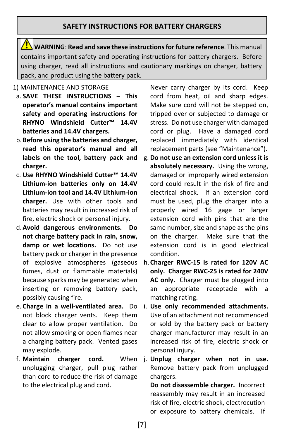**WARNING**: **Read and save these instructions for future reference**. This manual contains important safety and operating instructions for battery chargers. Before using charger, read all instructions and cautionary markings on charger, battery pack, and product using the battery pack.

### 1) MAINTENANCE AND STORAGE

- a. **SAVE THESE INSTRUCTIONS This operator's manual contains important safety and operating instructions for RHYNO Windshield Cutter™ 14.4V batteries and 14.4V chargers.**
- b.**Before using the batteries and charger, read this operator's manual and all labels on the tool, battery pack and charger.**
- c. **Use RHYNO Windshield Cutter™ 14.4V Lithium-ion batteries only on 14.4V Lithium-ion tool and 14.4V Lithium-ion charger.** Use with other tools and batteries may result in increased risk of fire, electric shock or personal injury.
- d.**Avoid dangerous environments. Do not charge battery pack in rain, snow, damp or wet locations.** Do not use battery pack or charger in the presence of explosive atmospheres (gaseous fumes, dust or flammable materials) because sparks may be generated when inserting or removing battery pack, possibly causing fire.
- e. **Charge in a well-ventilated area.** Do not block charger vents. Keep them clear to allow proper ventilation. Do not allow smoking or open flames near a charging battery pack. Vented gases may explode.
- f. **Maintain charger cord.** When unplugging charger, pull plug rather than cord to reduce the risk of damage to the electrical plug and cord.

Never carry charger by its cord. Keep cord from heat, oil and sharp edges. Make sure cord will not be stepped on, tripped over or subjected to damage or stress. Do not use charger with damaged cord or plug. Have a damaged cord replaced immediately with identical replacement parts (see "Maintenance").

- g. **Do not use an extension cord unless it is absolutely necessary.** Using the wrong, damaged or improperly wired extension cord could result in the risk of fire and electrical shock. If an extension cord must be used, plug the charger into a properly wired 16 gage or larger extension cord with pins that are the same number, size and shape as the pins on the charger. Make sure that the extension cord is in good electrical condition.
- h.**Charger RWC-15 is rated for 120V AC only. Charger RWC-25 is rated for 240V AC only.** Charger must be plugged into an appropriate receptacle with a matching rating.
- i. **Use only recommended attachments.** Use of an attachment not recommended or sold by the battery pack or battery charger manufacturer may result in an increased risk of fire, electric shock or personal injury.
- j. **Unplug charger when not in use.** Remove battery pack from unplugged chargers.

**Do not disassemble charger.** Incorrect reassembly may result in an increased risk of fire, electric shock, electrocution or exposure to battery chemicals. If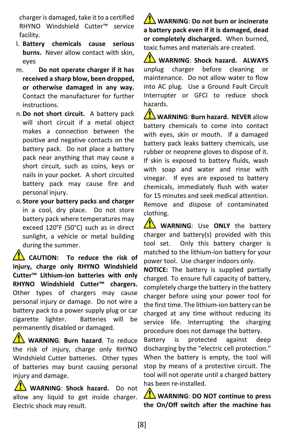charger is damaged, take it to a certified RHYNO Windshield Cutter™ service facility.

- l. **Battery chemicals cause serious burns.** Never allow contact with skin, eyes
- m. **Do not operate charger if it has received a sharp blow, been dropped, or otherwise damaged in any way.**  Contact the manufacturer for further instructions.
- n.**Do not short circuit.** A battery pack will short circuit if a metal object makes a connection between the positive and negative contacts on the battery pack. Do not place a battery pack near anything that may cause a short circuit, such as coins, keys or nails in your pocket. A short circuited battery pack may cause fire and personal injury.
- o. **Store your battery packs and charger**  in a cool, dry place. Do not store battery pack where temperatures may exceed 120°F (50°C) such as in direct sunlight, a vehicle or metal building during the summer.

**CAUTION: To reduce the risk of injury, charge only RHYNO Windshield Cutter™ Lithium-ion batteries with only RHYNO Windshield Cutter™ chargers.**  Other types of chargers may cause personal injury or damage. Do not wire a battery pack to a power supply plug or car cigarette lighter. Batteries will be permanently disabled or damaged.

**WARNING**: **Burn hazard**. To reduce the risk of injury, charge only RHYNO Windshield Cutter batteries. Other types of batteries may burst causing personal injury and damage.

 **WARNING**: **Shock hazard.** Do not allow any liquid to get inside charger. Electric shock may result.

**WARNING**: **Do not burn or incinerate a battery pack even if it is damaged, dead or completely discharged.** When burned, toxic fumes and materials are created.

**WARNING**: **Shock hazard. ALWAYS** unplug charger before cleaning or maintenance. Do not allow water to flow into AC plug. Use a Ground Fault Circuit Interrupter or GFCI to reduce shock hazards.

**WARNING**: **Burn hazard. NEVER** allow battery chemicals to come into contact with eyes, skin or mouth. If a damaged battery pack leaks battery chemicals, use rubber or neoprene gloves to dispose of it. If skin is exposed to battery fluids, wash with soap and water and rinse with vinegar. If eyes are exposed to battery chemicals, immediately flush with water for 15 minutes and seek medical attention. Remove and dispose of contaminated clothing.

∕∩ **WARNING**: Use **ONLY** the battery charger and battery(s) provided with this tool set. Only this battery charger is matched to the lithium-ion battery for your power tool. Use charger indoors only.

**NOTICE:** The battery is supplied partially charged. To ensure full capacity of battery, completely charge the battery in the battery charger before using your power tool for the first time. The lithium-ion battery can be charged at any time without reducing its service life. Interrupting the charging procedure does not damage the battery.

Battery is protected against deep discharging by the "electric cell protection." When the battery is empty, the tool will stop by means of a protective circuit. The tool will not operate until a charged battery has been re-installed.

**WARNING**: **DO NOT continue to press the On/Off switch after the machine has**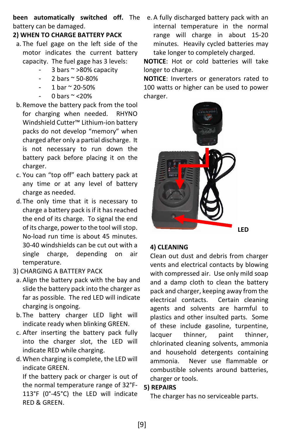**been automatically switched off.** The battery can be damaged.

### **2) WHEN TO CHARGE BATTERY PACK**

- a. The fuel gage on the left side of the motor indicates the current battery capacity. The fuel gage has 3 levels:
	- 3 bars  $\approx$  >80% capacity
	- 2 bars  $\approx$  50-80%
	- 1 bar  $\approx$  20-50%
	- 0 bars  $\approx$  <20%
- b.Remove the battery pack from the tool for charging when needed. RHYNO Windshield Cutter™ Lithium-ion battery packs do not develop "memory" when charged after only a partial discharge. It is not necessary to run down the battery pack before placing it on the charger.
- c. You can "top off" each battery pack at any time or at any level of battery charge as needed.
- d. The only time that it is necessary to charge a battery pack is if it has reached the end of its charge. To signal the end of its charge, power to the tool will stop. No-load run time is about 45 minutes. 30-40 windshields can be cut out with a single charge, depending on air temperature.
- 3) CHARGING A BATTERY PACK
	- a. Align the battery pack with the bay and slide the battery pack into the charger as far as possible. The red LED will indicate charging is ongoing.
	- b. The battery charger LED light will indicate ready when blinking GREEN.
	- c. After inserting the battery pack fully into the charger slot, the LED will indicate RED while charging.
	- d.When charging is complete, the LED will indicate GREEN.

If the battery pack or charger is out of the normal temperature range of 32°F-113°F (0°-45°C) the LED will indicate RED & GREEN.

e. A fully discharged battery pack with an internal temperature in the normal range will charge in about 15-20 minutes. Heavily cycled batteries may take longer to completely charged.

**NOTICE**: Hot or cold batteries will take longer to charge.

**NOTICE**: Inverters or generators rated to 100 watts or higher can be used to power charger.



### **4) CLEANING**

Clean out dust and debris from charger vents and electrical contacts by blowing with compressed air. Use only mild soap and a damp cloth to clean the battery pack and charger, keeping away from the electrical contacts. Certain cleaning agents and solvents are harmful to plastics and other insulted parts. Some of these include gasoline, turpentine, lacquer thinner, paint thinner, chlorinated cleaning solvents, ammonia and household detergents containing ammonia. Never use flammable or combustible solvents around batteries, charger or tools.

#### **5) REPAIRS**

The charger has no serviceable parts.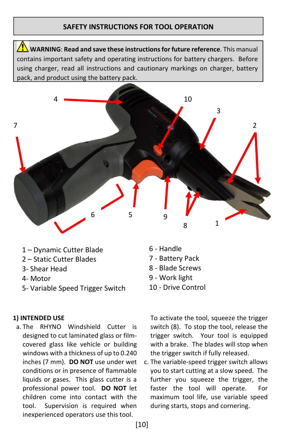## **SAFETY INSTRUCTIONS FOR TOOL OPERATION**

**WARNING**: **Read and save these instructions for future reference**. This manual contains important safety and operating instructions for battery chargers. Before using charger, read all instructions and cautionary markings on charger, battery pack, and product using the battery pack.



- 1 Dynamic Cutter Blade
- 2 Static Cutter Blades
- 3- Shear Head
- 4- Motor
- 5- Variable Speed Trigger Switch

### **1) INTENDED USE**

- a. The RHYNO Windshield Cutter is designed to cut laminated glass or filmcovered glass like vehicle or building windows with a thickness of up to 0.240 inches (7 mm). **DO NOT** use under wet conditions or in presence of flammable liquids or gases. This glass cutter is a professional power tool. **DO NOT** let children come into contact with the tool. Supervision is required when inexperienced operators use this tool.
- 6 Handle 7 - Battery Pack 8 - Blade Screws 9 - Work light 10 - Drive Control

To activate the tool, squeeze the trigger switch (8). To stop the tool, release the trigger switch. Your tool is equipped with a brake. The blades will stop when the trigger switch if fully released.

c. The variable-speed trigger switch allows you to start cutting at a slow speed. The further you squeeze the trigger, the faster the tool will operate. For maximum tool life, use variable speed during starts, stops and cornering.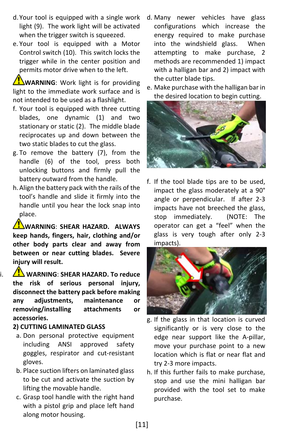- d. Your tool is equipped with a single work light (9). The work light will be activated when the trigger switch is squeezed.
- e. Your tool is equipped with a Motor Control switch (10). This switch locks the trigger while in the center position and permits motor drive when to the left.

**WARNING:** Work light is for providing light to the immediate work surface and is not intended to be used as a flashlight.

- f. Your tool is equipped with three cutting blades, one dynamic (1) and two stationary or static (2). The middle blade reciprocates up and down between the two static blades to cut the glass.
- g. To remove the battery (7), from the handle (6) of the tool, press both unlocking buttons and firmly pull the battery outward from the handle.
- h.Align the battery pack with the rails of the tool's handle and slide it firmly into the handle until you hear the lock snap into place.

**WARNING**: **SHEAR HAZARD. ALWAYS keep hands, fingers, hair, clothing and/or other body parts clear and away from between or near cutting blades. Severe injury will result.** 

i. **WARNING**: **SHEAR HAZARD. To reduce the risk of serious personal injury, disconnect the battery pack before making any adjustments, maintenance or removing/installing attachments or accessories.**

### **2) CUTTING LAMINATED GLASS**

- a. Don personal protective equipment including ANSI approved safety goggles, respirator and cut-resistant gloves.
- b. Place suction lifters on laminated glass to be cut and activate the suction by lifting the movable handle.
- c. Grasp tool handle with the right hand with a pistol grip and place left hand along motor housing.
- d. Many newer vehicles have glass configurations which increase the energy required to make purchase into the windshield glass. When attempting to make purchase, 2 methods are recommended 1) impact with a halligan bar and 2) impact with the cutter blade tips.
- e. Make purchase with the halligan bar in the desired location to begin cutting.



f. If the tool blade tips are to be used, impact the glass moderately at a 90° angle or perpendicular. If after 2-3 impacts have not breeched the glass, stop immediately. (NOTE: The operator can get a "feel" when the glass is very tough after only 2-3 impacts).



- g. If the glass in that location is curved significantly or is very close to the edge near support like the A-pillar, move your purchase point to a new location which is flat or near flat and try 2-3 more impacts.
- h. If this further fails to make purchase, stop and use the mini halligan bar provided with the tool set to make purchase.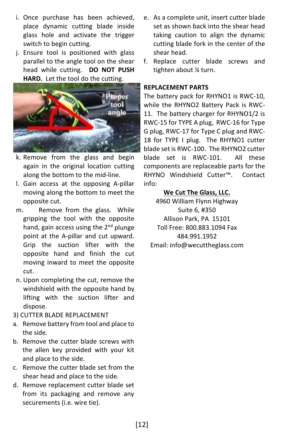- i. Once purchase has been achieved, place dynamic cutting blade inside glass hole and activate the trigger switch to begin cutting.
- j. Ensure tool is positioned with glass parallel to the angle tool on the shear head while cutting. **DO NOT PUSH HARD.** Let the tool do the cutting.



- k. Remove from the glass and begin again in the original location cutting along the bottom to the mid-line.
- l. Gain access at the opposing A-pillar moving along the bottom to meet the opposite cut.
- m. Remove from the glass. While gripping the tool with the opposite hand, gain access using the 2<sup>nd</sup> plunge point at the A-pillar and cut upward. Grip the suction lifter with the opposite hand and finish the cut moving inward to meet the opposite cut.
- n. Upon completing the cut, remove the windshield with the opposite hand by lifting with the suction lifter and dispose.
- 3) CUTTER BLADE REPLACEMENT
- a. Remove battery from tool and place to the side.
- b. Remove the cutter blade screws with the allen key provided with your kit and place to the side.
- c. Remove the cutter blade set from the shear head and place to the side.
- d. Remove replacement cutter blade set from its packaging and remove any securements (i.e. wire tie).
- e. As a complete unit, insert cutter blade set as shown back into the shear head taking caution to align the dynamic cutting blade fork in the center of the shear head.
- f. Replace cutter blade screws and tighten about ¼ turn.

#### **REPLACEMENT PARTS**

The battery pack for RHYNO1 is RWC-10, while the RHYNO2 Battery Pack is RWC-11. The battery charger for RHYNO1/2 is RWC-15 for TYPE A plug, RWC-16 for Type G plug, RWC-17 for Type C plug and RWC-18 for TYPE I plug. The RHYNO1 cutter blade set is RWC-100. The RHYNO2 cutter blade set is RWC-101. All these components are replaceable parts for the RHYNO Windshield Cutter™. Contact info:

### **We Cut The Glass, LLC.**

4960 William Flynn Highway Suite 6, #350 Allison Park, PA 15101 Toll Free: 800.883.1094 Fax 484.991.1952 Email: info@wecuttheglass.com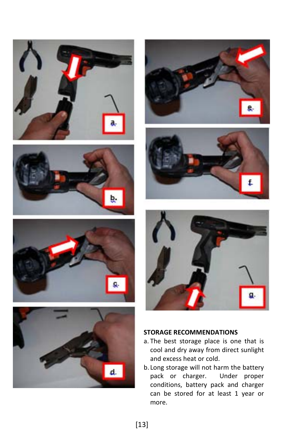













### **STORAGE RECOMMENDATIONS**

- a. The best storage place is one that is cool and dry away from direct sunlight and excess heat or cold.
- b. Long storage will not harm the battery pack or charger. Under proper conditions, battery pack and charger can be stored for at least 1 year or more.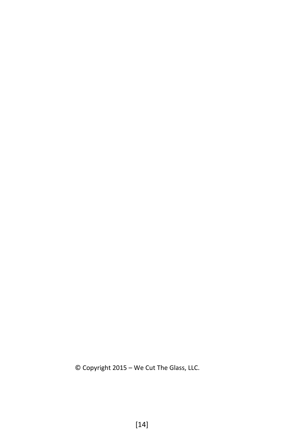© Copyright 2015 – We Cut The Glass, LLC.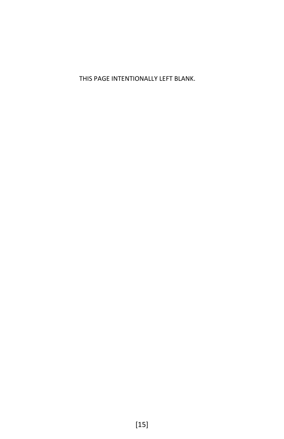THIS PAGE INTENTIONALLY LEFT BLANK.